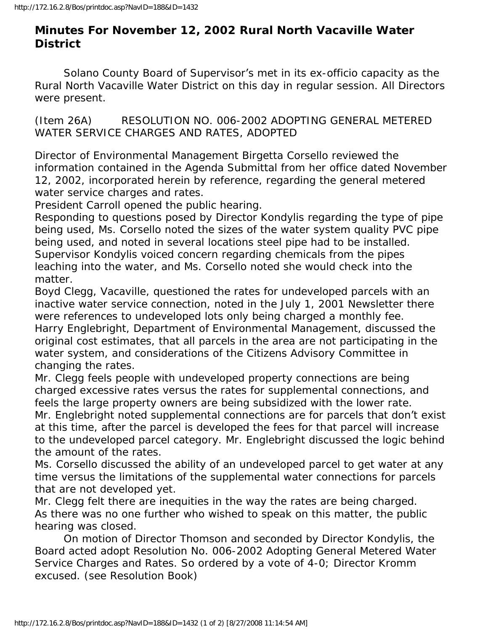## **Minutes For November 12, 2002 Rural North Vacaville Water District**

 Solano County Board of Supervisor's met in its ex-officio capacity as the Rural North Vacaville Water District on this day in regular session. All Directors were present.

(Item 26A) RESOLUTION NO. 006-2002 ADOPTING GENERAL METERED WATER SERVICE CHARGES AND RATES, ADOPTED

Director of Environmental Management Birgetta Corsello reviewed the information contained in the Agenda Submittal from her office dated November 12, 2002, incorporated herein by reference, regarding the general metered water service charges and rates.

President Carroll opened the public hearing.

Responding to questions posed by Director Kondylis regarding the type of pipe being used, Ms. Corsello noted the sizes of the water system quality PVC pipe being used, and noted in several locations steel pipe had to be installed. Supervisor Kondylis voiced concern regarding chemicals from the pipes leaching into the water, and Ms. Corsello noted she would check into the matter.

Boyd Clegg, Vacaville, questioned the rates for undeveloped parcels with an inactive water service connection, noted in the July 1, 2001 Newsletter there were references to undeveloped lots only being charged a monthly fee. Harry Englebright, Department of Environmental Management, discussed the original cost estimates, that all parcels in the area are not participating in the water system, and considerations of the Citizens Advisory Committee in changing the rates.

Mr. Clegg feels people with undeveloped property connections are being charged excessive rates versus the rates for supplemental connections, and feels the large property owners are being subsidized with the lower rate.

Mr. Englebright noted supplemental connections are for parcels that don't exist at this time, after the parcel is developed the fees for that parcel will increase to the undeveloped parcel category. Mr. Englebright discussed the logic behind the amount of the rates.

Ms. Corsello discussed the ability of an undeveloped parcel to get water at any time versus the limitations of the supplemental water connections for parcels that are not developed yet.

Mr. Clegg felt there are inequities in the way the rates are being charged. As there was no one further who wished to speak on this matter, the public hearing was closed.

 On motion of Director Thomson and seconded by Director Kondylis, the Board acted adopt Resolution No. 006-2002 Adopting General Metered Water Service Charges and Rates. So ordered by a vote of 4-0; Director Kromm excused. (see Resolution Book)